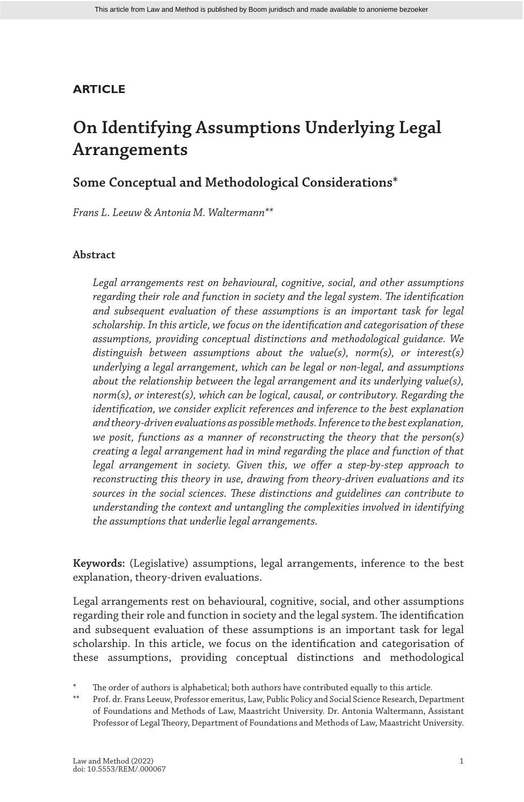# **ARTICLE**

# **On Identifying Assumptions Underlying Legal Arrangements**

# **Some Conceptual and Methodological Considerations\***

*Frans L. Leeuw & Antonia M. Waltermann\*\**

### **Abstract**

*Legal arrangements rest on behavioural, cognitive, social, and other assumptions regarding their role and function in society and the legal system. The identification and subsequent evaluation of these assumptions is an important task for legal scholarship. In this article, we focus on the identification and categorisation of these assumptions, providing conceptual distinctions and methodological guidance. We distinguish between assumptions about the value(s), norm(s), or interest(s) underlying a legal arrangement, which can be legal or non-legal, and assumptions about the relationship between the legal arrangement and its underlying value(s), norm(s), or interest(s), which can be logical, causal, or contributory. Regarding the identification, we consider explicit references and inference to the best explanation and theory-driven evaluations as possible methods. Inference to the best explanation, we posit, functions as a manner of reconstructing the theory that the person(s) creating a legal arrangement had in mind regarding the place and function of that legal arrangement in society. Given this, we offer a step-by-step approach to reconstructing this theory in use, drawing from theory-driven evaluations and its sources in the social sciences. These distinctions and guidelines can contribute to understanding the context and untangling the complexities involved in identifying the assumptions that underlie legal arrangements.*

**Keywords:** (Legislative) assumptions, legal arrangements, inference to the best explanation, theory-driven evaluations.

Legal arrangements rest on behavioural, cognitive, social, and other assumptions regarding their role and function in society and the legal system. The identification and subsequent evaluation of these assumptions is an important task for legal scholarship. In this article, we focus on the identification and categorisation of these assumptions, providing conceptual distinctions and methodological

<sup>\*</sup> The order of authors is alphabetical; both authors have contributed equally to this article.<br>\*\* Prof. dy Franc Louis: Professor movitus, Louis Public Polismand Social Science Passarch, Dan

<sup>\*\*</sup> Prof. dr. Frans Leeuw, Professor emeritus, Law, Public Policy and Social Science Research, Department of Foundations and Methods of Law, Maastricht University. Dr. Antonia Waltermann, Assistant Professor of Legal Theory, Department of Foundations and Methods of Law, Maastricht University.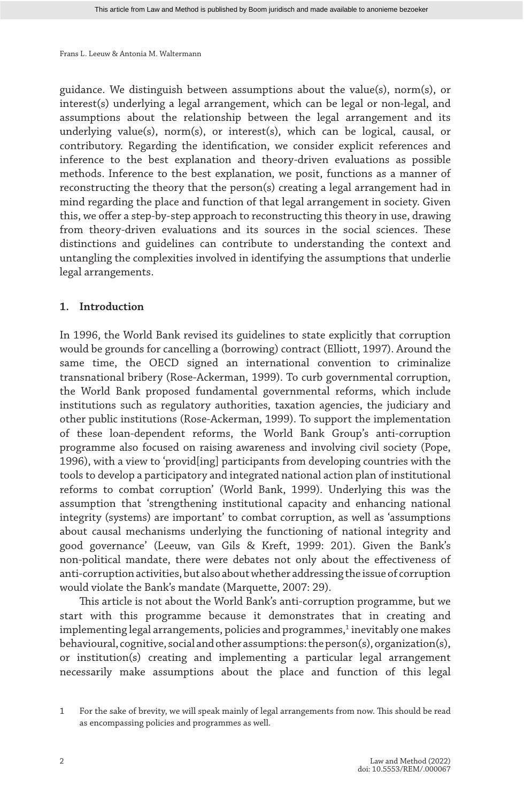guidance. We distinguish between assumptions about the value(s), norm(s), or interest(s) underlying a legal arrangement, which can be legal or non-legal, and assumptions about the relationship between the legal arrangement and its underlying value(s), norm(s), or interest(s), which can be logical, causal, or contributory. Regarding the identification, we consider explicit references and inference to the best explanation and theory-driven evaluations as possible methods. Inference to the best explanation, we posit, functions as a manner of reconstructing the theory that the person(s) creating a legal arrangement had in mind regarding the place and function of that legal arrangement in society. Given this, we offer a step-by-step approach to reconstructing this theory in use, drawing from theory-driven evaluations and its sources in the social sciences. These distinctions and guidelines can contribute to understanding the context and untangling the complexities involved in identifying the assumptions that underlie legal arrangements.

#### **1. Introduction**

In 1996, the World Bank revised its guidelines to state explicitly that corruption would be grounds for cancelling a (borrowing) contract (Elliott, 1997). Around the same time, the OECD signed an international convention to criminalize transnational bribery (Rose-Ackerman, 1999). To curb governmental corruption, the World Bank proposed fundamental governmental reforms, which include institutions such as regulatory authorities, taxation agencies, the judiciary and other public institutions (Rose-Ackerman, 1999). To support the implementation of these loan-dependent reforms, the World Bank Group's anti-corruption programme also focused on raising awareness and involving civil society (Pope, 1996), with a view to 'provid[ing] participants from developing countries with the tools to develop a participatory and integrated national action plan of institutional reforms to combat corruption' (World Bank, 1999). Underlying this was the assumption that 'strengthening institutional capacity and enhancing national integrity (systems) are important' to combat corruption, as well as 'assumptions about causal mechanisms underlying the functioning of national integrity and good governance' (Leeuw, van Gils & Kreft, 1999: 201). Given the Bank's non-political mandate, there were debates not only about the effectiveness of anti-corruption activities, but also about whether addressing the issue of corruption would violate the Bank's mandate (Marquette, 2007: 29).

This article is not about the World Bank's anti-corruption programme, but we start with this programme because it demonstrates that in creating and implementing legal arrangements, policies and programmes, $^{\rm 1}$  inevitably one makes behavioural, cognitive, social and other assumptions: the person(s), organization(s), or institution(s) creating and implementing a particular legal arrangement necessarily make assumptions about the place and function of this legal

<sup>1</sup> For the sake of brevity, we will speak mainly of legal arrangements from now. This should be read as encompassing policies and programmes as well.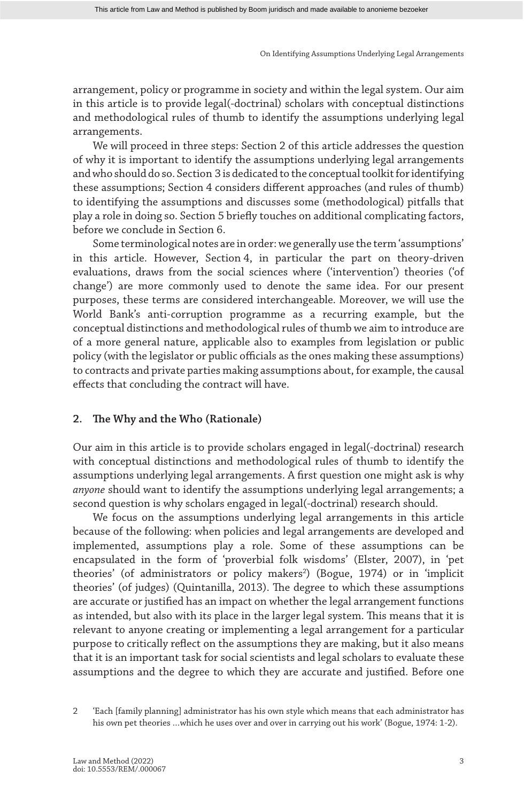arrangement, policy or programme in society and within the legal system. Our aim in this article is to provide legal(-doctrinal) scholars with conceptual distinctions and methodological rules of thumb to identify the assumptions underlying legal arrangements.

We will proceed in three steps: Section 2 of this article addresses the question of why it is important to identify the assumptions underlying legal arrangements and who should do so. Section 3 is dedicated to the conceptual toolkit for identifying these assumptions; Section 4 considers different approaches (and rules of thumb) to identifying the assumptions and discusses some (methodological) pitfalls that play a role in doing so. Section 5 briefly touches on additional complicating factors, before we conclude in Section 6.

Some terminological notes are in order: we generally use the term 'assumptions' in this article. However, Section 4, in particular the part on theory-driven evaluations, draws from the social sciences where ('intervention') theories ('of change') are more commonly used to denote the same idea. For our present purposes, these terms are considered interchangeable. Moreover, we will use the World Bank's anti-corruption programme as a recurring example, but the conceptual distinctions and methodological rules of thumb we aim to introduce are of a more general nature, applicable also to examples from legislation or public policy (with the legislator or public officials as the ones making these assumptions) to contracts and private parties making assumptions about, for example, the causal effects that concluding the contract will have.

#### **2. The Why and the Who (Rationale)**

Our aim in this article is to provide scholars engaged in legal(-doctrinal) research with conceptual distinctions and methodological rules of thumb to identify the assumptions underlying legal arrangements. A first question one might ask is why *anyone* should want to identify the assumptions underlying legal arrangements; a second question is why scholars engaged in legal(-doctrinal) research should.

We focus on the assumptions underlying legal arrangements in this article because of the following: when policies and legal arrangements are developed and implemented, assumptions play a role. Some of these assumptions can be encapsulated in the form of 'proverbial folk wisdoms' (Elster, 2007), in 'pet theories' (of administrators or policy makers<sup>2</sup>) (Bogue, 1974) or in 'implicit theories' (of judges) (Quintanilla, 2013). The degree to which these assumptions are accurate or justified has an impact on whether the legal arrangement functions as intended, but also with its place in the larger legal system. This means that it is relevant to anyone creating or implementing a legal arrangement for a particular purpose to critically reflect on the assumptions they are making, but it also means that it is an important task for social scientists and legal scholars to evaluate these assumptions and the degree to which they are accurate and justified. Before one

2 'Each [family planning] administrator has his own style which means that each administrator has his own pet theories …which he uses over and over in carrying out his work' (Bogue, 1974: 1-2).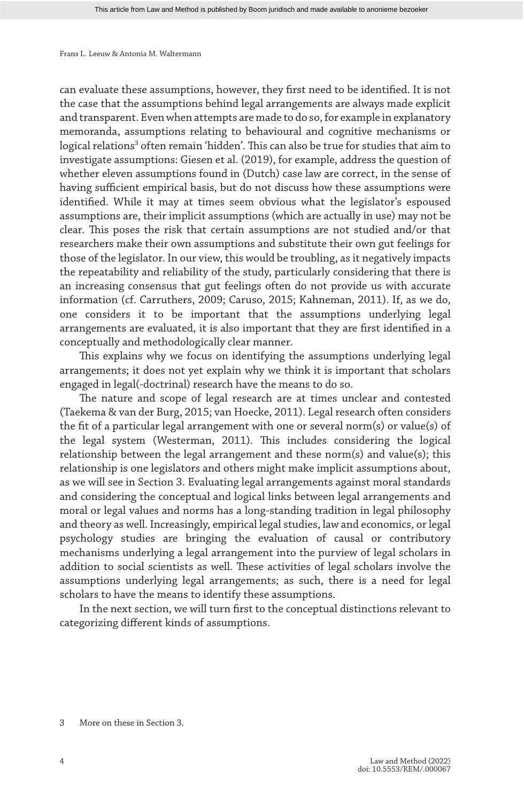can evaluate these assumptions, however, they first need to be identified. It is not the case that the assumptions behind legal arrangements are always made explicit and transparent. Even when attempts are made to do so, for example in explanatory memoranda, assumptions relating to behavioural and cognitive mechanisms or logical relations<sup>3</sup> often remain 'hidden'. This can also be true for studies that aim to investigate assumptions: Giesen et al. (2019), for example, address the question of whether eleven assumptions found in (Dutch) case law are correct, in the sense of having sufficient empirical basis, but do not discuss how these assumptions were identified. While it may at times seem obvious what the legislator's espoused assumptions are, their implicit assumptions (which are actually in use) may not be clear. This poses the risk that certain assumptions are not studied and/or that researchers make their own assumptions and substitute their own gut feelings for those of the legislator. In our view, this would be troubling, as it negatively impacts the repeatability and reliability of the study, particularly considering that there is an increasing consensus that gut feelings often do not provide us with accurate information (cf. Carruthers, 2009; Caruso, 2015; Kahneman, 2011). If, as we do, one considers it to be important that the assumptions underlying legal arrangements are evaluated, it is also important that they are first identified in a conceptually and methodologically clear manner.

This explains why we focus on identifying the assumptions underlying legal arrangements; it does not yet explain why we think it is important that scholars engaged in legal(-doctrinal) research have the means to do so.

The nature and scope of legal research are at times unclear and contested (Taekema & van der Burg, 2015; van Hoecke, 2011). Legal research often considers the fit of a particular legal arrangement with one or several norm(s) or value(s) of the legal system (Westerman, 2011). This includes considering the logical relationship between the legal arrangement and these norm(s) and value(s); this relationship is one legislators and others might make implicit assumptions about, as we will see in Section 3. Evaluating legal arrangements against moral standards and considering the conceptual and logical links between legal arrangements and moral or legal values and norms has a long-standing tradition in legal philosophy and theory as well. Increasingly, empirical legal studies, law and economics, or legal psychology studies are bringing the evaluation of causal or contributory mechanisms underlying a legal arrangement into the purview of legal scholars in addition to social scientists as well. These activities of legal scholars involve the assumptions underlying legal arrangements; as such, there is a need for legal scholars to have the means to identify these assumptions.

In the next section, we will turn first to the conceptual distinctions relevant to categorizing different kinds of assumptions.

3 More on these in Section 3.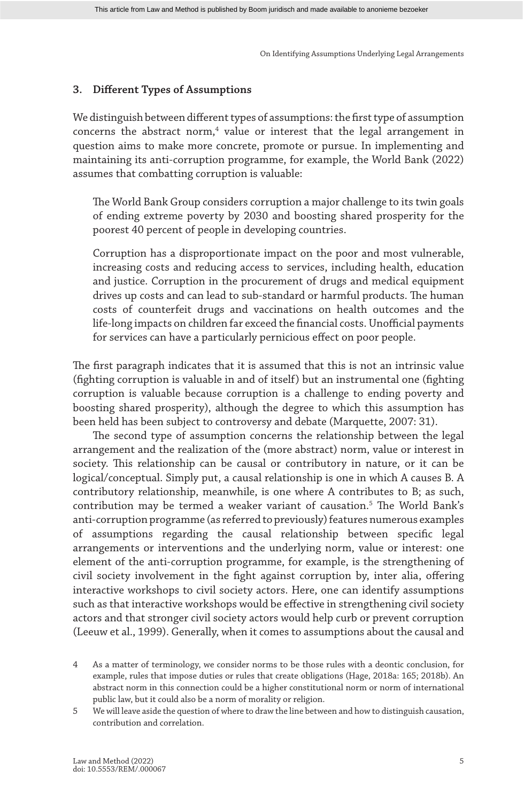# **3. Different Types of Assumptions**

We distinguish between different types of assumptions: the first type of assumption concerns the abstract norm, $4$  value or interest that the legal arrangement in question aims to make more concrete, promote or pursue. In implementing and maintaining its anti-corruption programme, for example, the World Bank (2022) assumes that combatting corruption is valuable:

The World Bank Group considers corruption a major challenge to its twin goals of ending extreme poverty by 2030 and boosting shared prosperity for the poorest 40 percent of people in developing countries.

Corruption has a disproportionate impact on the poor and most vulnerable, increasing costs and reducing access to services, including health, education and justice. Corruption in the procurement of drugs and medical equipment drives up costs and can lead to sub-standard or harmful products. The human costs of counterfeit drugs and vaccinations on health outcomes and the life-long impacts on children far exceed the financial costs. Unofficial payments for services can have a particularly pernicious effect on poor people.

The first paragraph indicates that it is assumed that this is not an intrinsic value (fighting corruption is valuable in and of itself) but an instrumental one (fighting corruption is valuable because corruption is a challenge to ending poverty and boosting shared prosperity), although the degree to which this assumption has been held has been subject to controversy and debate (Marquette, 2007: 31).

The second type of assumption concerns the relationship between the legal arrangement and the realization of the (more abstract) norm, value or interest in society. This relationship can be causal or contributory in nature, or it can be logical/conceptual. Simply put, a causal relationship is one in which A causes B. A contributory relationship, meanwhile, is one where A contributes to B; as such, contribution may be termed a weaker variant of causation.5 The World Bank's anti-corruption programme (as referred to previously) features numerous examples of assumptions regarding the causal relationship between specific legal arrangements or interventions and the underlying norm, value or interest: one element of the anti-corruption programme, for example, is the strengthening of civil society involvement in the fight against corruption by, inter alia, offering interactive workshops to civil society actors. Here, one can identify assumptions such as that interactive workshops would be effective in strengthening civil society actors and that stronger civil society actors would help curb or prevent corruption (Leeuw et al., 1999). Generally, when it comes to assumptions about the causal and

<sup>4</sup> As a matter of terminology, we consider norms to be those rules with a deontic conclusion, for example, rules that impose duties or rules that create obligations (Hage, 2018a: 165; 2018b). An abstract norm in this connection could be a higher constitutional norm or norm of international public law, but it could also be a norm of morality or religion.

<sup>5</sup> We will leave aside the question of where to draw the line between and how to distinguish causation, contribution and correlation.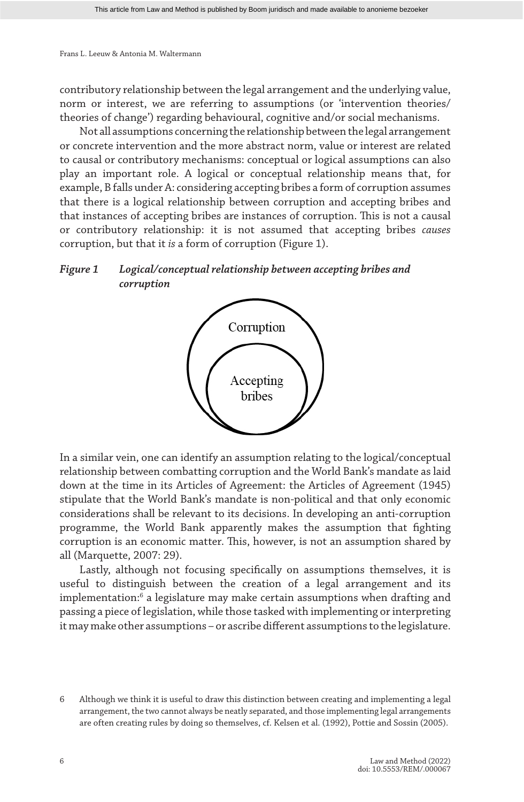contributory relationship between the legal arrangement and the underlying value, norm or interest, we are referring to assumptions (or 'intervention theories/ theories of change') regarding behavioural, cognitive and/or social mechanisms.

Not all assumptions concerning the relationship between the legal arrangement or concrete intervention and the more abstract norm, value or interest are related to causal or contributory mechanisms: conceptual or logical assumptions can also play an important role. A logical or conceptual relationship means that, for example, B falls under A: considering accepting bribes a form of corruption assumes that there is a logical relationship between corruption and accepting bribes and that instances of accepting bribes are instances of corruption. This is not a causal or contributory relationship: it is not assumed that accepting bribes *causes* corruption, but that it *is* a form of corruption (Figure 1).

# *Figure 1 Logical/conceptual relationship between accepting bribes and corruption*



In a similar vein, one can identify an assumption relating to the logical/conceptual relationship between combatting corruption and the World Bank's mandate as laid down at the time in its Articles of Agreement: the Articles of Agreement (1945) stipulate that the World Bank's mandate is non-political and that only economic considerations shall be relevant to its decisions. In developing an anti-corruption programme, the World Bank apparently makes the assumption that fighting corruption is an economic matter. This, however, is not an assumption shared by all (Marquette, 2007: 29).

Lastly, although not focusing specifically on assumptions themselves, it is useful to distinguish between the creation of a legal arrangement and its implementation:6 a legislature may make certain assumptions when drafting and passing a piece of legislation, while those tasked with implementing or interpreting it may make other assumptions – or ascribe different assumptions to the legislature.

<sup>6</sup> Although we think it is useful to draw this distinction between creating and implementing a legal arrangement, the two cannot always be neatly separated, and those implementing legal arrangements are often creating rules by doing so themselves, cf. Kelsen et al. (1992), Pottie and Sossin (2005).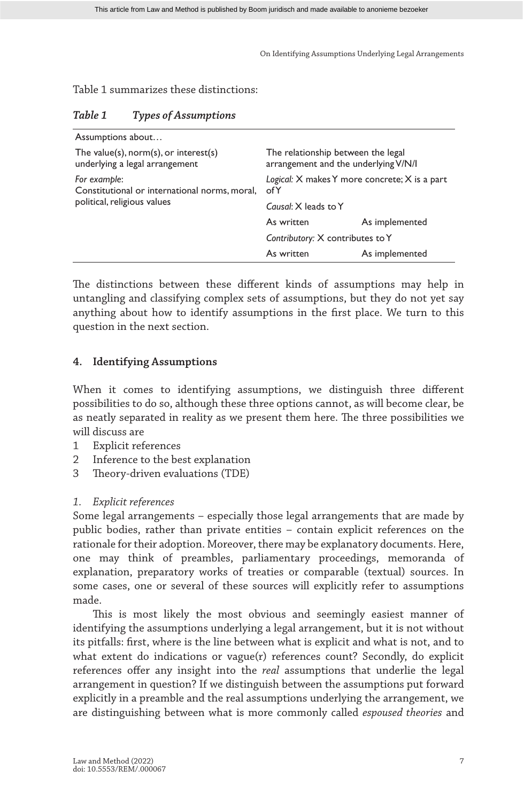# Table 1 summarizes these distinctions:

| Table 1<br><b>Types of Assumptions</b> |
|----------------------------------------|
|----------------------------------------|

| Assumptions about                                                                            |                                                                            |                |
|----------------------------------------------------------------------------------------------|----------------------------------------------------------------------------|----------------|
| The value(s), norm(s), or interest(s)<br>underlying a legal arrangement                      | The relationship between the legal<br>arrangement and the underlying V/N/l |                |
| For example:<br>Constitutional or international norms, moral,<br>political, religious values | Logical: X makes Y more concrete; X is a part<br>ofY                       |                |
|                                                                                              | Causal: X leads to Y                                                       |                |
|                                                                                              | As written                                                                 | As implemented |
|                                                                                              | Contributory: X contributes to Y                                           |                |
|                                                                                              | As written                                                                 | As implemented |

The distinctions between these different kinds of assumptions may help in untangling and classifying complex sets of assumptions, but they do not yet say anything about how to identify assumptions in the first place. We turn to this question in the next section.

# **4. Identifying Assumptions**

When it comes to identifying assumptions, we distinguish three different possibilities to do so, although these three options cannot, as will become clear, be as neatly separated in reality as we present them here. The three possibilities we will discuss are

- 1 Explicit references
- 2 Inference to the best explanation
- 3 Theory-driven evaluations (TDE)

# *1. Explicit references*

Some legal arrangements – especially those legal arrangements that are made by public bodies, rather than private entities – contain explicit references on the rationale for their adoption. Moreover, there may be explanatory documents. Here, one may think of preambles, parliamentary proceedings, memoranda of explanation, preparatory works of treaties or comparable (textual) sources. In some cases, one or several of these sources will explicitly refer to assumptions made.

This is most likely the most obvious and seemingly easiest manner of identifying the assumptions underlying a legal arrangement, but it is not without its pitfalls: first, where is the line between what is explicit and what is not, and to what extent do indications or  $vague(r)$  references count? Secondly, do explicit references offer any insight into the *real* assumptions that underlie the legal arrangement in question? If we distinguish between the assumptions put forward explicitly in a preamble and the real assumptions underlying the arrangement, we are distinguishing between what is more commonly called *espoused theories* and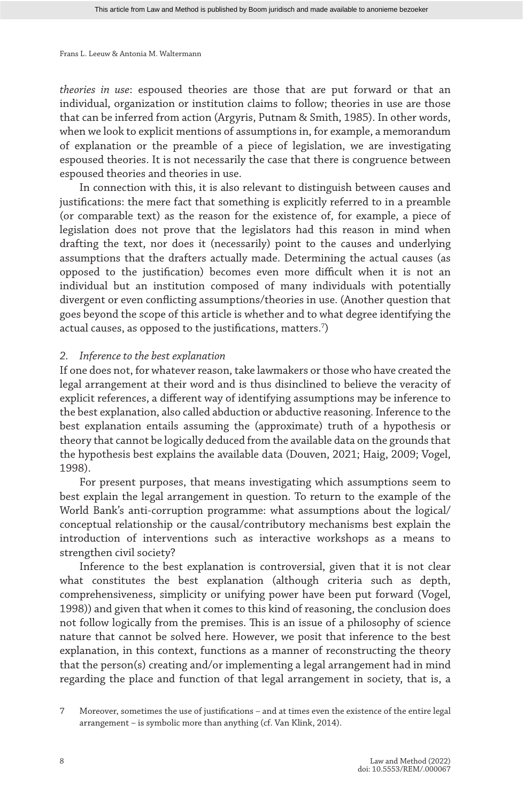*theories in use*: espoused theories are those that are put forward or that an individual, organization or institution claims to follow; theories in use are those that can be inferred from action (Argyris, Putnam & Smith, 1985). In other words, when we look to explicit mentions of assumptions in, for example, a memorandum of explanation or the preamble of a piece of legislation, we are investigating espoused theories. It is not necessarily the case that there is congruence between espoused theories and theories in use.

In connection with this, it is also relevant to distinguish between causes and justifications: the mere fact that something is explicitly referred to in a preamble (or comparable text) as the reason for the existence of, for example, a piece of legislation does not prove that the legislators had this reason in mind when drafting the text, nor does it (necessarily) point to the causes and underlying assumptions that the drafters actually made. Determining the actual causes (as opposed to the justification) becomes even more difficult when it is not an individual but an institution composed of many individuals with potentially divergent or even conflicting assumptions/theories in use. (Another question that goes beyond the scope of this article is whether and to what degree identifying the actual causes, as opposed to the justifications, matters. $^7\!\,)$ 

#### *2. Inference to the best explanation*

If one does not, for whatever reason, take lawmakers or those who have created the legal arrangement at their word and is thus disinclined to believe the veracity of explicit references, a different way of identifying assumptions may be inference to the best explanation, also called abduction or abductive reasoning. Inference to the best explanation entails assuming the (approximate) truth of a hypothesis or theory that cannot be logically deduced from the available data on the grounds that the hypothesis best explains the available data (Douven, 2021; Haig, 2009; Vogel, 1998).

For present purposes, that means investigating which assumptions seem to best explain the legal arrangement in question. To return to the example of the World Bank's anti-corruption programme: what assumptions about the logical/ conceptual relationship or the causal/contributory mechanisms best explain the introduction of interventions such as interactive workshops as a means to strengthen civil society?

Inference to the best explanation is controversial, given that it is not clear what constitutes the best explanation (although criteria such as depth, comprehensiveness, simplicity or unifying power have been put forward (Vogel, 1998)) and given that when it comes to this kind of reasoning, the conclusion does not follow logically from the premises. This is an issue of a philosophy of science nature that cannot be solved here. However, we posit that inference to the best explanation, in this context, functions as a manner of reconstructing the theory that the person(s) creating and/or implementing a legal arrangement had in mind regarding the place and function of that legal arrangement in society, that is, a

<sup>7</sup> Moreover, sometimes the use of justifications – and at times even the existence of the entire legal arrangement – is symbolic more than anything (cf. Van Klink, 2014).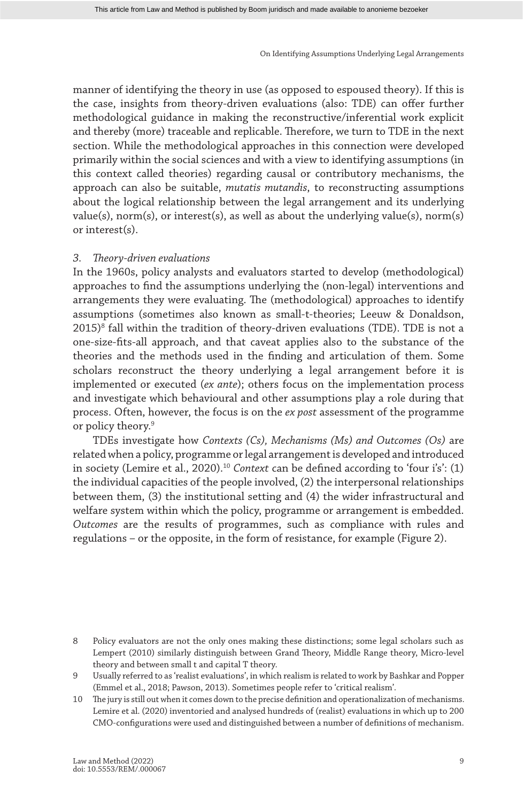manner of identifying the theory in use (as opposed to espoused theory). If this is the case, insights from theory-driven evaluations (also: TDE) can offer further methodological guidance in making the reconstructive/inferential work explicit and thereby (more) traceable and replicable. Therefore, we turn to TDE in the next section. While the methodological approaches in this connection were developed primarily within the social sciences and with a view to identifying assumptions (in this context called theories) regarding causal or contributory mechanisms, the approach can also be suitable, *mutatis mutandis*, to reconstructing assumptions about the logical relationship between the legal arrangement and its underlying  $value(s)$ , norm(s), or interest(s), as well as about the underlying value(s), norm(s) or interest(s).

#### *3. Theory-driven evaluations*

In the 1960s, policy analysts and evaluators started to develop (methodological) approaches to find the assumptions underlying the (non-legal) interventions and arrangements they were evaluating. The (methodological) approaches to identify assumptions (sometimes also known as small-t-theories; Leeuw & Donaldson, 2015)<sup>8</sup> fall within the tradition of theory-driven evaluations (TDE). TDE is not a one-size-fits-all approach, and that caveat applies also to the substance of the theories and the methods used in the finding and articulation of them. Some scholars reconstruct the theory underlying a legal arrangement before it is implemented or executed (*ex ante*); others focus on the implementation process and investigate which behavioural and other assumptions play a role during that process. Often, however, the focus is on the *ex post* assessment of the programme or policy theory.<sup>9</sup>

TDEs investigate how *Contexts (Cs), Mechanisms (Ms) and Outcomes (Os)* are related when a policy, programme or legal arrangement is developed and introduced in society (Lemire et al., 2020).10 *Context* can be defined according to 'four i's': (1) the individual capacities of the people involved, (2) the interpersonal relationships between them, (3) the institutional setting and (4) the wider infrastructural and welfare system within which the policy, programme or arrangement is embedded. *Outcomes* are the results of programmes, such as compliance with rules and regulations – or the opposite, in the form of resistance, for example (Figure 2).

<sup>8</sup> Policy evaluators are not the only ones making these distinctions; some legal scholars such as Lempert (2010) similarly distinguish between Grand Theory, Middle Range theory, Micro-level theory and between small t and capital T theory.

<sup>9</sup> Usually referred to as 'realist evaluations', in which realism is related to work by Bashkar and Popper (Emmel et al., 2018; Pawson, 2013). Sometimes people refer to 'critical realism'.

<sup>10</sup> The jury is still out when it comes down to the precise definition and operationalization of mechanisms. Lemire et al. (2020) inventoried and analysed hundreds of (realist) evaluations in which up to 200 CMO-configurations were used and distinguished between a number of definitions of mechanism.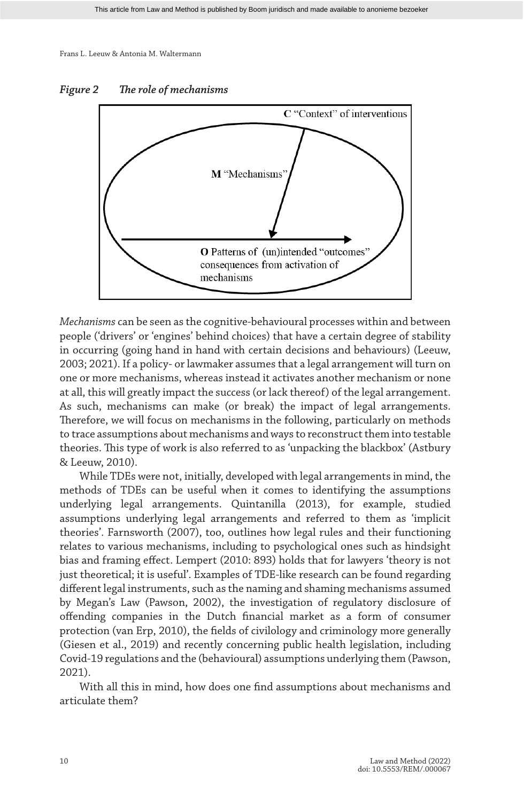



*Mechanisms* can be seen as the cognitive-behavioural processes within and between people ('drivers' or 'engines' behind choices) that have a certain degree of stability in occurring (going hand in hand with certain decisions and behaviours) (Leeuw, 2003; 2021). If a policy- or lawmaker assumes that a legal arrangement will turn on one or more mechanisms, whereas instead it activates another mechanism or none at all, this will greatly impact the success (or lack thereof) of the legal arrangement. As such, mechanisms can make (or break) the impact of legal arrangements. Therefore, we will focus on mechanisms in the following, particularly on methods to trace assumptions about mechanisms and ways to reconstruct them into testable theories. This type of work is also referred to as 'unpacking the blackbox' (Astbury & Leeuw, 2010).

While TDEs were not, initially, developed with legal arrangements in mind, the methods of TDEs can be useful when it comes to identifying the assumptions underlying legal arrangements. Quintanilla (2013), for example, studied assumptions underlying legal arrangements and referred to them as 'implicit theories'. Farnsworth (2007), too, outlines how legal rules and their functioning relates to various mechanisms, including to psychological ones such as hindsight bias and framing effect. Lempert (2010: 893) holds that for lawyers 'theory is not just theoretical; it is useful'. Examples of TDE-like research can be found regarding different legal instruments, such as the naming and shaming mechanisms assumed by Megan's Law (Pawson, 2002), the investigation of regulatory disclosure of offending companies in the Dutch financial market as a form of consumer protection (van Erp, 2010), the fields of civilology and criminology more generally (Giesen et al., 2019) and recently concerning public health legislation, including Covid-19 regulations and the (behavioural) assumptions underlying them (Pawson, 2021).

With all this in mind, how does one find assumptions about mechanisms and articulate them?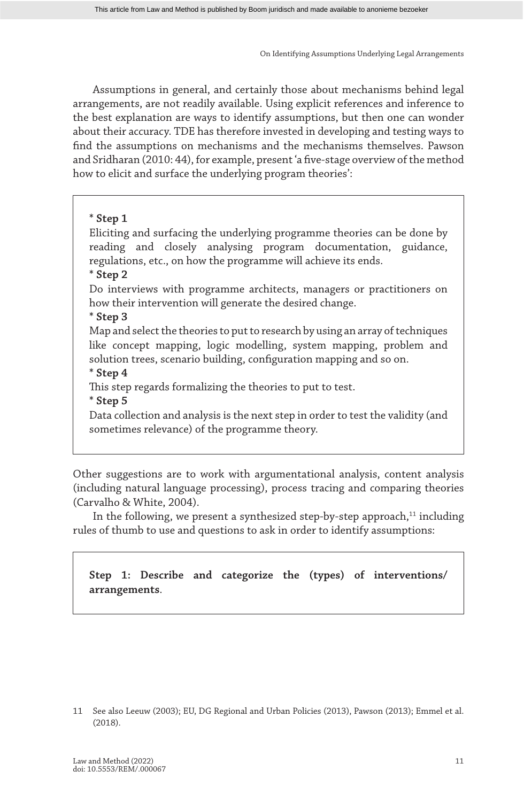Assumptions in general, and certainly those about mechanisms behind legal arrangements, are not readily available. Using explicit references and inference to the best explanation are ways to identify assumptions, but then one can wonder about their accuracy. TDE has therefore invested in developing and testing ways to find the assumptions on mechanisms and the mechanisms themselves. Pawson and Sridharan (2010: 44), for example, present 'a five-stage overview of the method how to elicit and surface the underlying program theories':

# **\* Step 1**

Eliciting and surfacing the underlying programme theories can be done by reading and closely analysing program documentation, guidance, regulations, etc., on how the programme will achieve its ends.

### **\* Step 2**

Do interviews with programme architects, managers or practitioners on how their intervention will generate the desired change.

### **\* Step 3**

Map and select the theories to put to research by using an array of techniques like concept mapping, logic modelling, system mapping, problem and solution trees, scenario building, configuration mapping and so on.

**\* Step 4**

This step regards formalizing the theories to put to test.

**\* Step 5**

Data collection and analysis is the next step in order to test the validity (and sometimes relevance) of the programme theory.

Other suggestions are to work with argumentational analysis, content analysis (including natural language processing), process tracing and comparing theories (Carvalho & White, 2004).

In the following, we present a synthesized step-by-step approach, $11$  including rules of thumb to use and questions to ask in order to identify assumptions:

# **Step 1: Describe and categorize the (types) of interventions/ arrangements**.

<sup>11</sup> See also Leeuw (2003); EU, DG Regional and Urban Policies (2013), Pawson (2013); Emmel et al. (2018).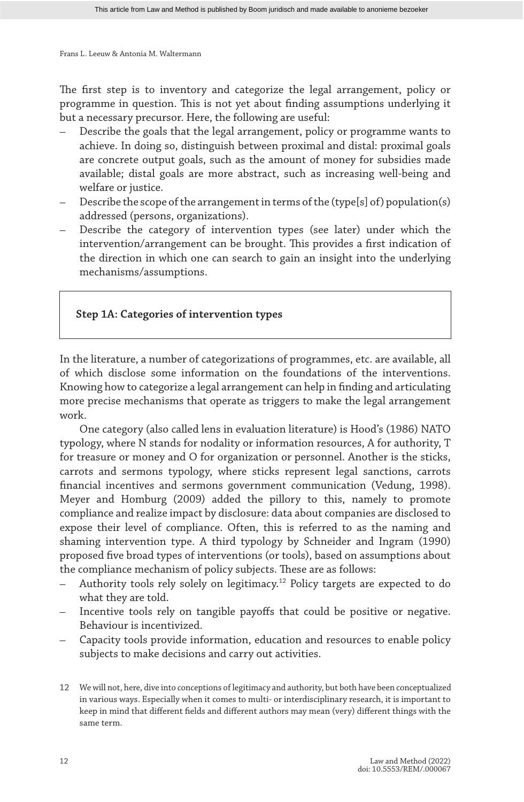The first step is to inventory and categorize the legal arrangement, policy or programme in question. This is not yet about finding assumptions underlying it but a necessary precursor. Here, the following are useful:

- Describe the goals that the legal arrangement, policy or programme wants to achieve. In doing so, distinguish between proximal and distal: proximal goals are concrete output goals, such as the amount of money for subsidies made available; distal goals are more abstract, such as increasing well-being and welfare or justice.
- Describe the scope of the arrangement in terms of the (type[s] of) population(s) addressed (persons, organizations).
- Describe the category of intervention types (see later) under which the intervention/arrangement can be brought. This provides a first indication of the direction in which one can search to gain an insight into the underlying mechanisms/assumptions.

# **Step 1A: Categories of intervention types**

In the literature, a number of categorizations of programmes, etc. are available, all of which disclose some information on the foundations of the interventions. Knowing how to categorize a legal arrangement can help in finding and articulating more precise mechanisms that operate as triggers to make the legal arrangement work.

One category (also called lens in evaluation literature) is Hood's (1986) NATO typology, where N stands for nodality or information resources, A for authority, T for treasure or money and O for organization or personnel. Another is the sticks, carrots and sermons typology, where sticks represent legal sanctions, carrots financial incentives and sermons government communication (Vedung, 1998). Meyer and Homburg (2009) added the pillory to this, namely to promote compliance and realize impact by disclosure: data about companies are disclosed to expose their level of compliance. Often, this is referred to as the naming and shaming intervention type. A third typology by Schneider and Ingram (1990) proposed five broad types of interventions (or tools), based on assumptions about the compliance mechanism of policy subjects. These are as follows:

- Authority tools rely solely on legitimacy.<sup>12</sup> Policy targets are expected to do what they are told.
- Incentive tools rely on tangible payoffs that could be positive or negative. Behaviour is incentivized.
- Capacity tools provide information, education and resources to enable policy subjects to make decisions and carry out activities.
- 12 We will not, here, dive into conceptions of legitimacy and authority, but both have been conceptualized in various ways. Especially when it comes to multi- or interdisciplinary research, it is important to keep in mind that different fields and different authors may mean (very) different things with the same term.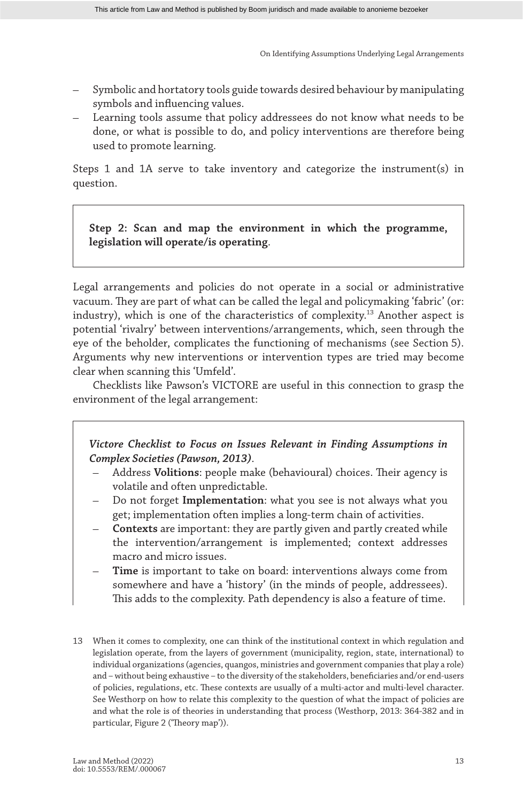- Symbolic and hortatory tools guide towards desired behaviour by manipulating symbols and influencing values.
- Learning tools assume that policy addressees do not know what needs to be done, or what is possible to do, and policy interventions are therefore being used to promote learning.

Steps 1 and 1A serve to take inventory and categorize the instrument(s) in question.

# **Step 2: Scan and map the environment in which the programme, legislation will operate/is operating**.

Legal arrangements and policies do not operate in a social or administrative vacuum. They are part of what can be called the legal and policymaking 'fabric' (or: industry), which is one of the characteristics of complexity.13 Another aspect is potential 'rivalry' between interventions/arrangements, which, seen through the eye of the beholder, complicates the functioning of mechanisms (see Section 5). Arguments why new interventions or intervention types are tried may become clear when scanning this 'Umfeld'.

Checklists like Pawson's VICTORE are useful in this connection to grasp the environment of the legal arrangement:

# *Victore Checklist to Focus on Issues Relevant in Finding Assumptions in Complex Societies (Pawson, 2013)*.

- Address **Volitions**: people make (behavioural) choices. Their agency is volatile and often unpredictable.
- Do not forget **Implementation**: what you see is not always what you get; implementation often implies a long-term chain of activities.
- **Contexts** are important: they are partly given and partly created while the intervention/arrangement is implemented; context addresses macro and micro issues.
- **Time** is important to take on board: interventions always come from somewhere and have a 'history' (in the minds of people, addressees). This adds to the complexity. Path dependency is also a feature of time.
- 13 When it comes to complexity, one can think of the institutional context in which regulation and legislation operate, from the layers of government (municipality, region, state, international) to individual organizations (agencies, quangos, ministries and government companies that play a role) and – without being exhaustive – to the diversity of the stakeholders, beneficiaries and/or end-users of policies, regulations, etc. These contexts are usually of a multi-actor and multi-level character. See Westhorp on how to relate this complexity to the question of what the impact of policies are and what the role is of theories in understanding that process (Westhorp, 2013: 364-382 and in particular, Figure 2 ('Theory map')).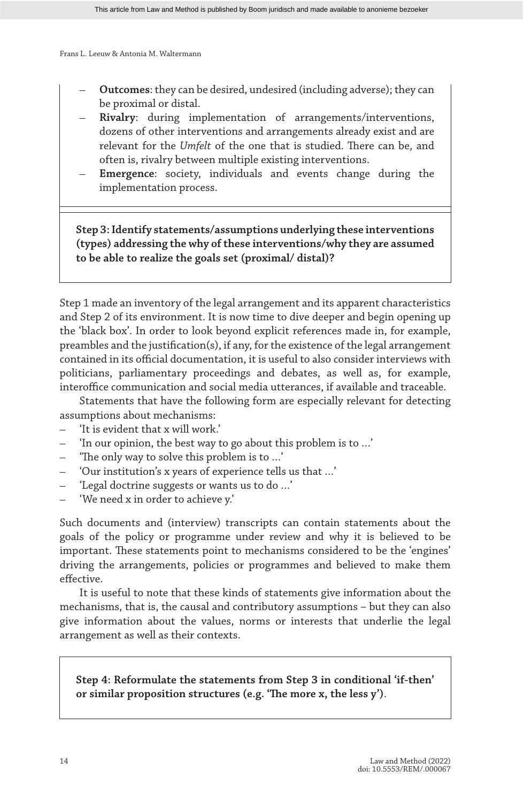- **Outcomes**: they can be desired, undesired (including adverse); they can be proximal or distal.
- **Rivalry**: during implementation of arrangements/interventions, dozens of other interventions and arrangements already exist and are relevant for the *Umfelt* of the one that is studied. There can be, and often is, rivalry between multiple existing interventions.
- **Emergence**: society, individuals and events change during the implementation process.

**Step 3: Identify statements/assumptions underlying these interventions (types) addressing the why of these interventions/why they are assumed to be able to realize the goals set (proximal/ distal)?**

Step 1 made an inventory of the legal arrangement and its apparent characteristics and Step 2 of its environment. It is now time to dive deeper and begin opening up the 'black box'. In order to look beyond explicit references made in, for example, preambles and the justification(s), if any, for the existence of the legal arrangement contained in its official documentation, it is useful to also consider interviews with politicians, parliamentary proceedings and debates, as well as, for example, interoffice communication and social media utterances, if available and traceable.

Statements that have the following form are especially relevant for detecting assumptions about mechanisms:

- 'It is evident that x will work.'
- 'In our opinion, the best way to go about this problem is to …'
- 'The only way to solve this problem is to …'
- 'Our institution's x years of experience tells us that …'
- 'Legal doctrine suggests or wants us to do …'
- 'We need x in order to achieve y.'

Such documents and (interview) transcripts can contain statements about the goals of the policy or programme under review and why it is believed to be important. These statements point to mechanisms considered to be the 'engines' driving the arrangements, policies or programmes and believed to make them effective.

It is useful to note that these kinds of statements give information about the mechanisms, that is, the causal and contributory assumptions – but they can also give information about the values, norms or interests that underlie the legal arrangement as well as their contexts.

**Step 4: Reformulate the statements from Step 3 in conditional 'if-then' or similar proposition structures (e.g. 'The more x, the less y')**.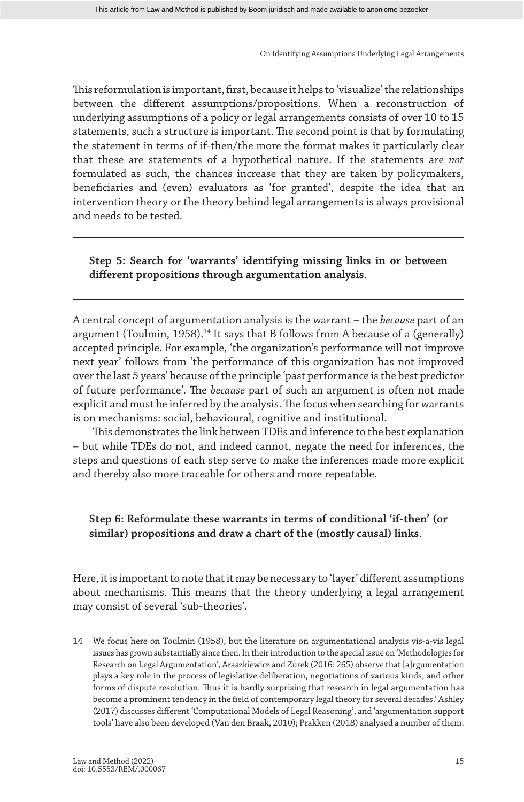This reformulation is important, first, because it helps to 'visualize' the relationships between the different assumptions/propositions. When a reconstruction of underlying assumptions of a policy or legal arrangements consists of over 10 to 15 statements, such a structure is important. The second point is that by formulating the statement in terms of if-then/the more the format makes it particularly clear that these are statements of a hypothetical nature. If the statements are *not* formulated as such, the chances increase that they are taken by policymakers, beneficiaries and (even) evaluators as 'for granted', despite the idea that an intervention theory or the theory behind legal arrangements is always provisional and needs to be tested.

**Step 5: Search for 'warrants' identifying missing links in or between different propositions through argumentation analysis**.

A central concept of argumentation analysis is the warrant – the *because* part of an argument (Toulmin, 1958).<sup>14</sup> It says that B follows from A because of a (generally) accepted principle. For example, 'the organization's performance will not improve next year' follows from 'the performance of this organization has not improved over the last 5 years' because of the principle 'past performance is the best predictor of future performance'. The *because* part of such an argument is often not made explicit and must be inferred by the analysis. The focus when searching for warrants is on mechanisms: social, behavioural, cognitive and institutional.

This demonstrates the link between TDEs and inference to the best explanation – but while TDEs do not, and indeed cannot, negate the need for inferences, the steps and questions of each step serve to make the inferences made more explicit and thereby also more traceable for others and more repeatable.

**Step 6: Reformulate these warrants in terms of conditional 'if-then' (or similar) propositions and draw a chart of the (mostly causal) links**.

Here, it is important to note that it may be necessary to 'layer' different assumptions about mechanisms. This means that the theory underlying a legal arrangement may consist of several 'sub-theories'.

14 We focus here on Toulmin (1958), but the literature on argumentational analysis vis-a-vis legal issues has grown substantially since then. In their introduction to the special issue on 'Methodologies for Research on Legal Argumentation', Araszkiewicz and Zurek (2016: 265) observe that [a]rgumentation plays a key role in the process of legislative deliberation, negotiations of various kinds, and other forms of dispute resolution. Thus it is hardly surprising that research in legal argumentation has become a prominent tendency in the field of contemporary legal theory for several decades.' Ashley (2017) discusses different 'Computational Models of Legal Reasoning', and 'argumentation support tools' have also been developed (Van den Braak, 2010); Prakken (2018) analysed a number of them.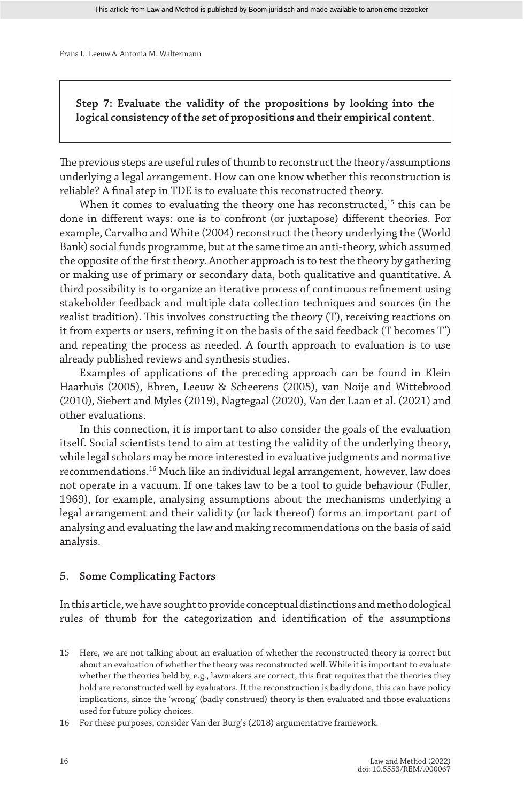**Step 7: Evaluate the validity of the propositions by looking into the logical consistency of the set of propositions and their empirical content**.

The previous steps are useful rules of thumb to reconstruct the theory/assumptions underlying a legal arrangement. How can one know whether this reconstruction is reliable? A final step in TDE is to evaluate this reconstructed theory.

When it comes to evaluating the theory one has reconstructed, $15$  this can be done in different ways: one is to confront (or juxtapose) different theories. For example, Carvalho and White (2004) reconstruct the theory underlying the (World Bank) social funds programme, but at the same time an anti-theory, which assumed the opposite of the first theory. Another approach is to test the theory by gathering or making use of primary or secondary data, both qualitative and quantitative. A third possibility is to organize an iterative process of continuous refinement using stakeholder feedback and multiple data collection techniques and sources (in the realist tradition). This involves constructing the theory (T), receiving reactions on it from experts or users, refining it on the basis of the said feedback (T becomes T') and repeating the process as needed. A fourth approach to evaluation is to use already published reviews and synthesis studies.

Examples of applications of the preceding approach can be found in Klein Haarhuis (2005), Ehren, Leeuw & Scheerens (2005), van Noije and Wittebrood (2010), Siebert and Myles (2019), Nagtegaal (2020), Van der Laan et al. (2021) and other evaluations.

In this connection, it is important to also consider the goals of the evaluation itself. Social scientists tend to aim at testing the validity of the underlying theory, while legal scholars may be more interested in evaluative judgments and normative recommendations.16 Much like an individual legal arrangement, however, law does not operate in a vacuum. If one takes law to be a tool to guide behaviour (Fuller, 1969), for example, analysing assumptions about the mechanisms underlying a legal arrangement and their validity (or lack thereof) forms an important part of analysing and evaluating the law and making recommendations on the basis of said analysis.

#### **5. Some Complicating Factors**

In this article, we have sought to provide conceptual distinctions and methodological rules of thumb for the categorization and identification of the assumptions

<sup>15</sup> Here, we are not talking about an evaluation of whether the reconstructed theory is correct but about an evaluation of whether the theory was reconstructed well. While it is important to evaluate whether the theories held by, e.g., lawmakers are correct, this first requires that the theories they hold are reconstructed well by evaluators. If the reconstruction is badly done, this can have policy implications, since the 'wrong' (badly construed) theory is then evaluated and those evaluations used for future policy choices.

<sup>16</sup> For these purposes, consider Van der Burg's (2018) argumentative framework.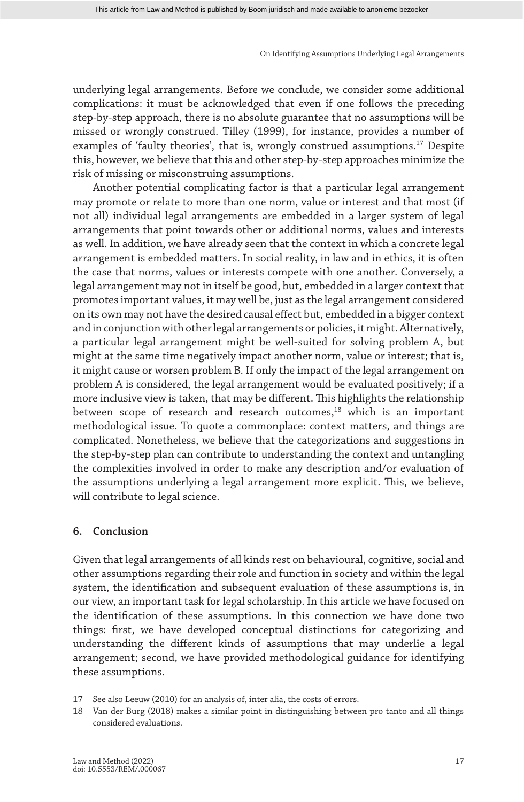underlying legal arrangements. Before we conclude, we consider some additional complications: it must be acknowledged that even if one follows the preceding step-by-step approach, there is no absolute guarantee that no assumptions will be missed or wrongly construed. Tilley (1999), for instance, provides a number of examples of 'faulty theories', that is, wrongly construed assumptions.<sup>17</sup> Despite this, however, we believe that this and other step-by-step approaches minimize the risk of missing or misconstruing assumptions.

Another potential complicating factor is that a particular legal arrangement may promote or relate to more than one norm, value or interest and that most (if not all) individual legal arrangements are embedded in a larger system of legal arrangements that point towards other or additional norms, values and interests as well. In addition, we have already seen that the context in which a concrete legal arrangement is embedded matters. In social reality, in law and in ethics, it is often the case that norms, values or interests compete with one another. Conversely, a legal arrangement may not in itself be good, but, embedded in a larger context that promotes important values, it may well be, just as the legal arrangement considered on its own may not have the desired causal effect but, embedded in a bigger context and in conjunction with other legal arrangements or policies, it might. Alternatively, a particular legal arrangement might be well-suited for solving problem A, but might at the same time negatively impact another norm, value or interest; that is, it might cause or worsen problem B. If only the impact of the legal arrangement on problem A is considered, the legal arrangement would be evaluated positively; if a more inclusive view is taken, that may be different. This highlights the relationship between scope of research and research outcomes,<sup>18</sup> which is an important methodological issue. To quote a commonplace: context matters, and things are complicated. Nonetheless, we believe that the categorizations and suggestions in the step-by-step plan can contribute to understanding the context and untangling the complexities involved in order to make any description and/or evaluation of the assumptions underlying a legal arrangement more explicit. This, we believe, will contribute to legal science.

# **6. Conclusion**

Given that legal arrangements of all kinds rest on behavioural, cognitive, social and other assumptions regarding their role and function in society and within the legal system, the identification and subsequent evaluation of these assumptions is, in our view, an important task for legal scholarship. In this article we have focused on the identification of these assumptions. In this connection we have done two things: first, we have developed conceptual distinctions for categorizing and understanding the different kinds of assumptions that may underlie a legal arrangement; second, we have provided methodological guidance for identifying these assumptions.

<sup>17</sup> See also Leeuw (2010) for an analysis of, inter alia, the costs of errors.

<sup>18</sup> Van der Burg (2018) makes a similar point in distinguishing between pro tanto and all things considered evaluations.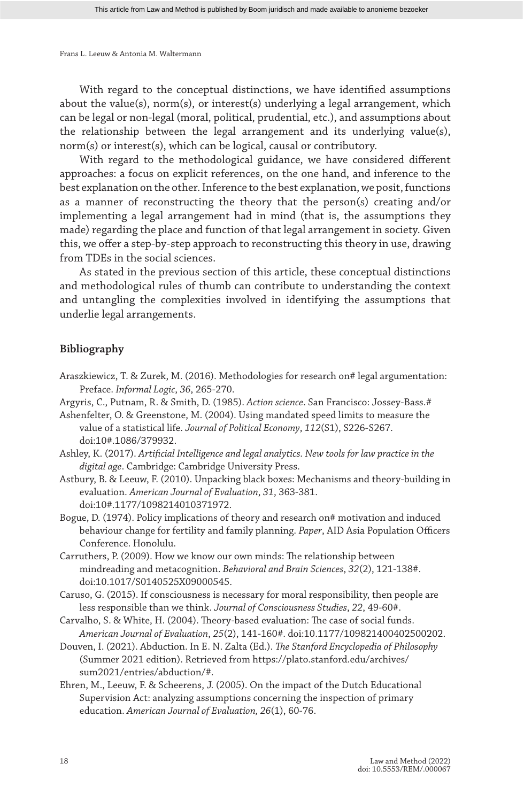With regard to the conceptual distinctions, we have identified assumptions about the value(s), norm(s), or interest(s) underlying a legal arrangement, which can be legal or non-legal (moral, political, prudential, etc.), and assumptions about the relationship between the legal arrangement and its underlying value(s), norm(s) or interest(s), which can be logical, causal or contributory.

With regard to the methodological guidance, we have considered different approaches: a focus on explicit references, on the one hand, and inference to the best explanation on the other. Inference to the best explanation, we posit, functions as a manner of reconstructing the theory that the person(s) creating and/or implementing a legal arrangement had in mind (that is, the assumptions they made) regarding the place and function of that legal arrangement in society. Given this, we offer a step-by-step approach to reconstructing this theory in use, drawing from TDEs in the social sciences.

As stated in the previous section of this article, these conceptual distinctions and methodological rules of thumb can contribute to understanding the context and untangling the complexities involved in identifying the assumptions that underlie legal arrangements.

#### **Bibliography**

Araszkiewicz, T. & Zurek, M. (2016). Methodologies for research on# legal argumentation: Preface. *Informal Logic*, *36*, 265-270.

Argyris, C., Putnam, R. & Smith, D. (1985). *Action science*. San Francisco: Jossey-Bass.#

- Ashenfelter, O. & Greenstone, M. (2004). Using mandated speed limits to measure the value of a statistical life. *Journal of Political Economy*, *112*(S1), S226-S267. doi:10#.1086/379932.
- Ashley, K. (2017). *Artificial Intelligence and legal analytics. New tools for law practice in the digital age*. Cambridge: Cambridge University Press.
- Astbury, B. & Leeuw, F. (2010). Unpacking black boxes: Mechanisms and theory-building in evaluation. *American Journal of Evaluation*, *31*, 363-381. doi:10#.1177/1098214010371972.
- Bogue, D. (1974). Policy implications of theory and research on# motivation and induced behaviour change for fertility and family planning. *Paper*, AID Asia Population Officers Conference. Honolulu.
- Carruthers, P. (2009). How we know our own minds: The relationship between mindreading and metacognition. *Behavioral and Brain Sciences*, *32*(2), 121-138#. doi:10.1017/S0140525X09000545.
- Caruso, G. (2015). If consciousness is necessary for moral responsibility, then people are less responsible than we think. *Journal of Consciousness Studies*, *22*, 49-60#.
- Carvalho, S. & White, H. (2004). Theory-based evaluation: The case of social funds. *American Journal of Evaluation*, *25*(2), 141-160#. doi:10.1177/109821400402500202.
- Douven, I. (2021). Abduction. In E. N. Zalta (Ed.). *The Stanford Encyclopedia of Philosophy* (Summer 2021 edition). Retrieved from https://plato.stanford.edu/archives/ sum2021/entries/abduction/#.
- Ehren, M., Leeuw, F. & Scheerens, J. (2005). On the impact of the Dutch Educational Supervision Act: analyzing assumptions concerning the inspection of primary education. *American Journal of Evaluation, 26*(1), 60-76.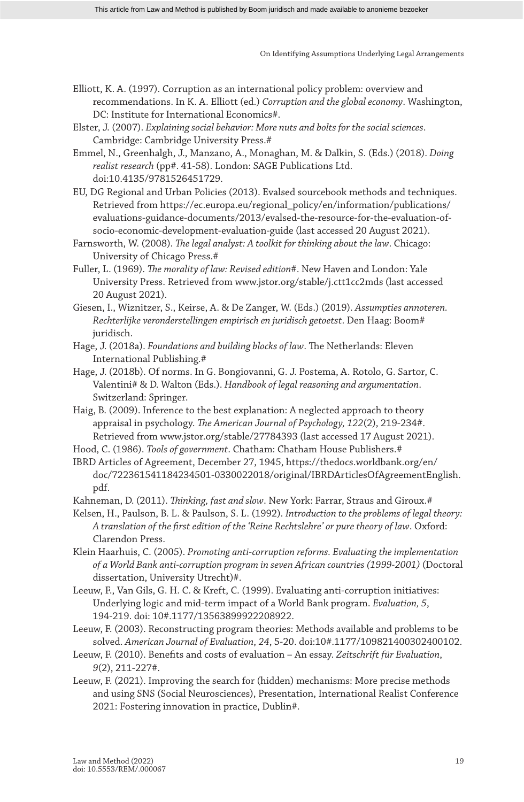- Elliott, K. A. (1997). Corruption as an international policy problem: overview and recommendations. In K. A. Elliott (ed.) *Corruption and the global economy*. Washington, DC: Institute for International Economics#.
- Elster, J. (2007). *Explaining social behavior: More nuts and bolts for the social sciences*. Cambridge: Cambridge University Press.#
- Emmel, N., Greenhalgh, J., Manzano, A., Monaghan, M. & Dalkin, S. (Eds.) (2018). *Doing realist research* (pp#. 41-58). London: SAGE Publications Ltd. doi:10.4135/9781526451729.
- EU, DG Regional and Urban Policies (2013). Evalsed sourcebook methods and techniques. Retrieved from https://ec.europa.eu/regional\_policy/en/information/publications/ evaluations-guidance-documents/2013/evalsed-the-resource-for-the-evaluation-ofsocio-economic-development-evaluation-guide (last accessed 20 August 2021).
- Farnsworth, W. (2008). *The legal analyst: A toolkit for thinking about the law*. Chicago: University of Chicago Press.#
- Fuller, L. (1969). *The morality of law: Revised edition*#. New Haven and London: Yale University Press. Retrieved from www.jstor.org/stable/j.ctt1cc2mds (last accessed 20 August 2021).
- Giesen, I., Wiznitzer, S., Keirse, A. & De Zanger, W. (Eds.) (2019). *Assumpties annoteren. Rechterlijke veronderstellingen empirisch en juridisch getoetst*. Den Haag: Boom# juridisch.
- Hage, J. (2018a). *Foundations and building blocks of law*. The Netherlands: Eleven International Publishing.#
- Hage, J. (2018b). Of norms. In G. Bongiovanni, G. J. Postema, A. Rotolo, G. Sartor, C. Valentini# & D. Walton (Eds.). *Handbook of legal reasoning and argumentation*. Switzerland: Springer.
- Haig, B. (2009). Inference to the best explanation: A neglected approach to theory appraisal in psychology. *The American Journal of Psychology, 122*(2), 219-234#. Retrieved from www.jstor.org/stable/27784393 (last accessed 17 August 2021).
- Hood, C. (1986). *Tools of government*. Chatham: Chatham House Publishers.#
- IBRD Articles of Agreement, December 27, 1945, https://thedocs.worldbank.org/en/ doc/722361541184234501-0330022018/original/IBRDArticlesOfAgreementEnglish. pdf.
- Kahneman, D. (2011). *Thinking, fast and slow*. New York: Farrar, Straus and Giroux.#
- Kelsen, H., Paulson, B. L. & Paulson, S. L. (1992). *Introduction to the problems of legal theory: A translation of the first edition of the 'Reine Rechtslehre' or pure theory of law*. Oxford: Clarendon Press.
- Klein Haarhuis, C. (2005). *Promoting anti-corruption reforms. Evaluating the implementation of a World Bank anti-corruption program in seven African countries (1999-2001)* (Doctoral dissertation, University Utrecht)#.
- Leeuw, F., Van Gils, G. H. C. & Kreft, C. (1999). Evaluating anti-corruption initiatives: Underlying logic and mid-term impact of a World Bank program. *Evaluation, 5*, 194-219. doi: 10#.1177/13563899922208922.
- Leeuw, F. (2003). Reconstructing program theories: Methods available and problems to be solved. *American Journal of Evaluation*, *24*, 5-20. doi:10#.1177/109821400302400102.
- Leeuw, F. (2010). Benefits and costs of evaluation An essay. *Zeitschrift für Evaluation*, *9*(2), 211-227#.
- Leeuw, F. (2021). Improving the search for (hidden) mechanisms: More precise methods and using SNS (Social Neurosciences), Presentation, International Realist Conference 2021: Fostering innovation in practice, Dublin#.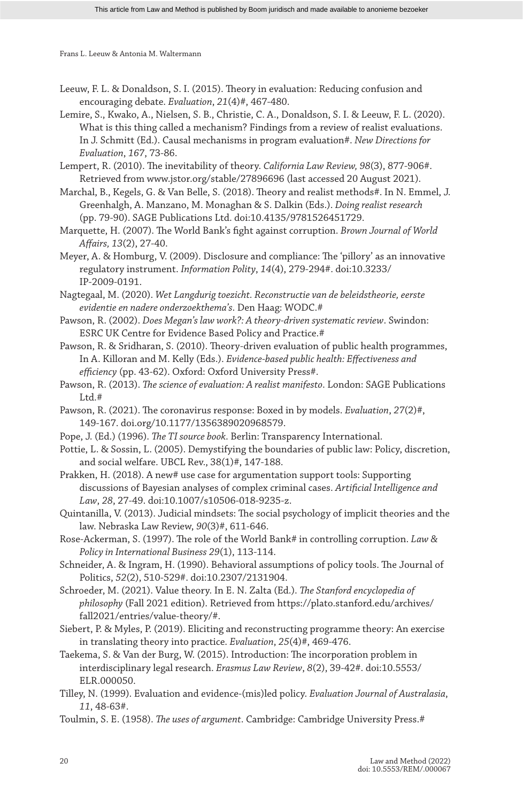- Leeuw, F. L. & Donaldson, S. I. (2015). Theory in evaluation: Reducing confusion and encouraging debate. *Evaluation*, *21*(4)#, 467-480.
- Lemire, S., Kwako, A., Nielsen, S. B., Christie, C. A., Donaldson, S. I. & Leeuw, F. L. (2020). What is this thing called a mechanism? Findings from a review of realist evaluations. In J. Schmitt (Ed.). Causal mechanisms in program evaluation#. *New Directions for Evaluation*, *167*, 73-86.
- Lempert, R. (2010). The inevitability of theory. *California Law Review, 98*(3), 877-906#. Retrieved from www.jstor.org/stable/27896696 (last accessed 20 August 2021).
- Marchal, B., Kegels, G. & Van Belle, S. (2018). Theory and realist methods#. In N. Emmel, J. Greenhalgh, A. Manzano, M. Monaghan & S. Dalkin (Eds.). *Doing realist research* (pp. 79-90). SAGE Publications Ltd. doi:10.4135/9781526451729.
- Marquette, H. (2007). The World Bank's fight against corruption. *Brown Journal of World Affairs, 13*(2), 27-40.
- Meyer, A. & Homburg, V. (2009). Disclosure and compliance: The 'pillory' as an innovative regulatory instrument. *Information Polity*, *14*(4), 279-294#. doi:10.3233/ IP-2009-0191.

Nagtegaal, M. (2020). *Wet Langdurig toezicht. Reconstructie van de beleidstheorie, eerste evidentie en nadere onderzoekthema's*. Den Haag: WODC.#

- Pawson, R. (2002). *Does Megan's law work?: A theory-driven systematic review*. Swindon: ESRC UK Centre for Evidence Based Policy and Practice.#
- Pawson, R. & Sridharan, S. (2010). Theory-driven evaluation of public health programmes, In A. Killoran and M. Kelly (Eds.). *Evidence-based public health: Effectiveness and efficiency* (pp. 43-62). Oxford: Oxford University Press#.
- Pawson, R. (2013). *The science of evaluation: A realist manifesto*. London: SAGE Publications Ltd.#
- Pawson, R. (2021). The coronavirus response: Boxed in by models. *Evaluation*, *27*(2)#, 149-167. doi.org/10.1177/1356389020968579.
- Pope, J. (Ed.) (1996). *The TI source book*. Berlin: Transparency International.

Pottie, L. & Sossin, L. (2005). Demystifying the boundaries of public law: Policy, discretion, and social welfare. UBCL Rev., 38(1)#, 147-188.

- Prakken, H. (2018). A new# use case for argumentation support tools: Supporting discussions of Bayesian analyses of complex criminal cases. *Artificial Intelligence and Law*, *28*, 27-49. doi:10.1007/s10506-018-9235-z.
- Quintanilla, V. (2013). Judicial mindsets: The social psychology of implicit theories and the law. Nebraska Law Review, *90*(3)#, 611-646.

Rose-Ackerman, S. (1997). The role of the World Bank# in controlling corruption. *Law & Policy in International Business 29*(1), 113-114.

- Schneider, A. & Ingram, H. (1990). Behavioral assumptions of policy tools. The Journal of Politics, *52*(2), 510-529#. doi:10.2307/2131904.
- Schroeder, M. (2021). Value theory. In E. N. Zalta (Ed.). *The Stanford encyclopedia of philosophy* (Fall 2021 edition). Retrieved from https://plato.stanford.edu/archives/ fall2021/entries/value-theory/#.
- Siebert, P. & Myles, P. (2019). Eliciting and reconstructing programme theory: An exercise in translating theory into practice. *Evaluation*, *25*(4)#, 469-476.
- Taekema, S. & Van der Burg, W. (2015). Introduction: The incorporation problem in interdisciplinary legal research. *Erasmus Law Review*, *8*(2), 39-42#. doi:10.5553/ ELR.000050.
- Tilley, N. (1999). Evaluation and evidence-(mis)led policy. *Evaluation Journal of Australasia*, *11*, 48-63#.
- Toulmin, S. E. (1958). *The uses of argument*. Cambridge: Cambridge University Press.#